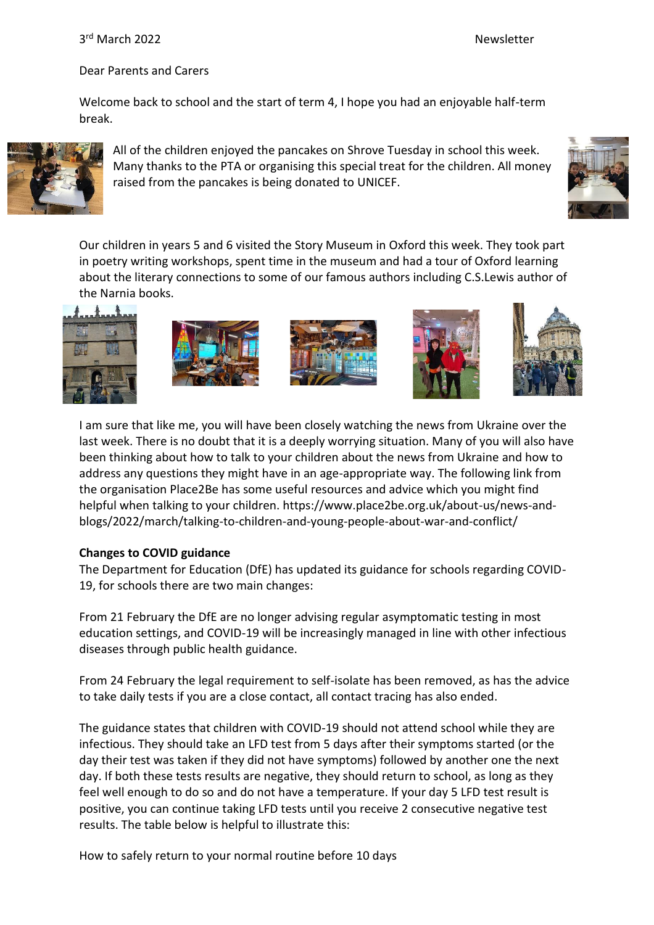# 3<sup>rd</sup> March 2022 **Newsletter**

#### Dear Parents and Carers

Welcome back to school and the start of term 4, I hope you had an enjoyable half-term break.



All of the children enjoyed the pancakes on Shrove Tuesday in school this week. Many thanks to the PTA or organising this special treat for the children. All money raised from the pancakes is being donated to UNICEF.



Our children in years 5 and 6 visited the Story Museum in Oxford this week. They took part in poetry writing workshops, spent time in the museum and had a tour of Oxford learning about the literary connections to some of our famous authors including C.S.Lewis author of the Narnia books.











I am sure that like me, you will have been closely watching the news from Ukraine over the last week. There is no doubt that it is a deeply worrying situation. Many of you will also have been thinking about how to talk to your children about the news from Ukraine and how to address any questions they might have in an age-appropriate way. The following link from the organisation Place2Be has some useful resources and advice which you might find helpful when talking to your children. https://www.place2be.org.uk/about-us/news-andblogs/2022/march/talking-to-children-and-young-people-about-war-and-conflict/

### **Changes to COVID guidance**

The Department for Education (DfE) has updated its guidance for schools regarding COVID-19, for schools there are two main changes:

From 21 February the DfE are no longer advising regular asymptomatic testing in most education settings, and COVID-19 will be increasingly managed in line with other infectious diseases through public health guidance.

From 24 February the legal requirement to self-isolate has been removed, as has the advice to take daily tests if you are a close contact, all contact tracing has also ended.

The guidance states that children with COVID-19 should not attend school while they are infectious. They should take an LFD test from 5 days after their symptoms started (or the day their test was taken if they did not have symptoms) followed by another one the next day. If both these tests results are negative, they should return to school, as long as they feel well enough to do so and do not have a temperature. If your day 5 LFD test result is positive, you can continue taking LFD tests until you receive 2 consecutive negative test results. The table below is helpful to illustrate this:

How to safely return to your normal routine before 10 days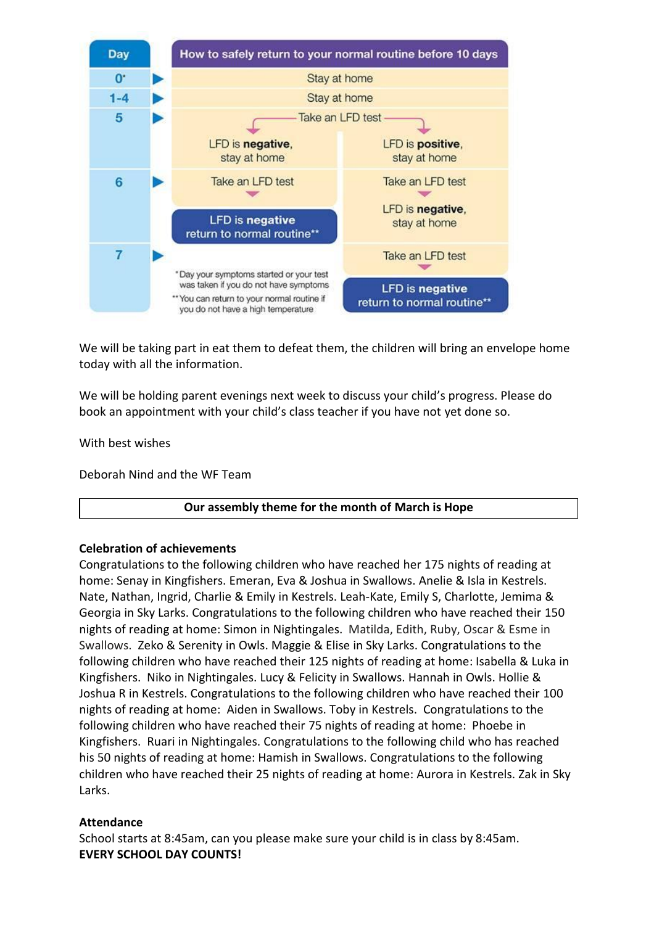

We will be taking part in eat them to defeat them, the children will bring an envelope home today with all the information.

We will be holding parent evenings next week to discuss your child's progress. Please do book an appointment with your child's class teacher if you have not yet done so.

With best wishes

Deborah Nind and the WF Team

### **Our assembly theme for the month of March is Hope**

### **Celebration of achievements**

Congratulations to the following children who have reached her 175 nights of reading at home: Senay in Kingfishers. Emeran, Eva & Joshua in Swallows. Anelie & Isla in Kestrels. Nate, Nathan, Ingrid, Charlie & Emily in Kestrels. Leah-Kate, Emily S, Charlotte, Jemima & Georgia in Sky Larks. Congratulations to the following children who have reached their 150 nights of reading at home: Simon in Nightingales. Matilda, Edith, Ruby, Oscar & Esme in Swallows. Zeko & Serenity in Owls. Maggie & Elise in Sky Larks. Congratulations to the following children who have reached their 125 nights of reading at home: Isabella & Luka in Kingfishers. Niko in Nightingales. Lucy & Felicity in Swallows. Hannah in Owls. Hollie & Joshua R in Kestrels. Congratulations to the following children who have reached their 100 nights of reading at home: Aiden in Swallows. Toby in Kestrels. Congratulations to the following children who have reached their 75 nights of reading at home: Phoebe in Kingfishers. Ruari in Nightingales. Congratulations to the following child who has reached his 50 nights of reading at home: Hamish in Swallows. Congratulations to the following children who have reached their 25 nights of reading at home: Aurora in Kestrels. Zak in Sky Larks.

### **Attendance**

School starts at 8:45am, can you please make sure your child is in class by 8:45am. **EVERY SCHOOL DAY COUNTS!**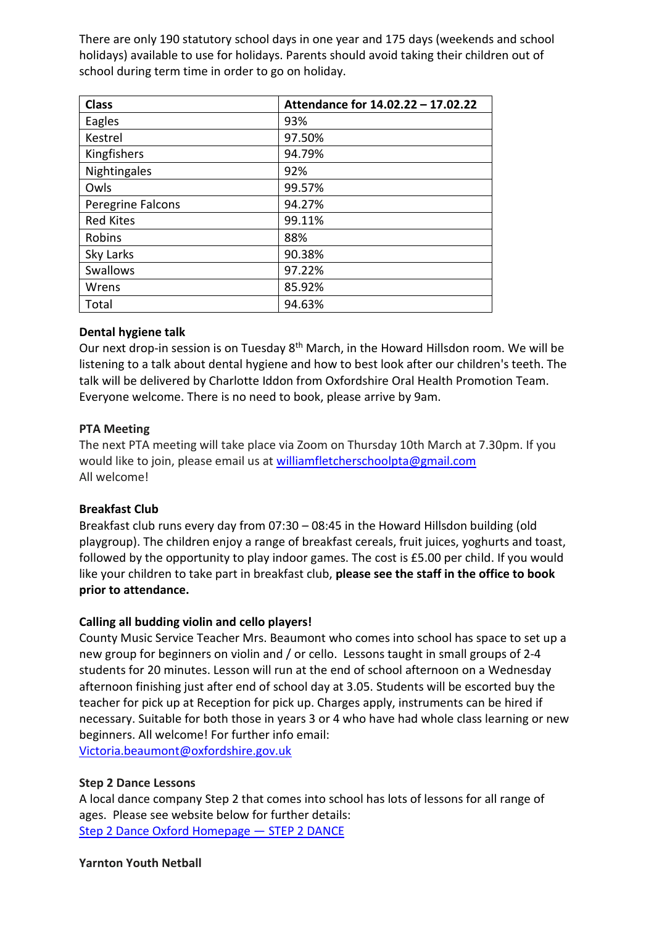There are only 190 statutory school days in one year and 175 days (weekends and school holidays) available to use for holidays. Parents should avoid taking their children out of school during term time in order to go on holiday.

| <b>Class</b>      | Attendance for 14.02.22 - 17.02.22 |
|-------------------|------------------------------------|
| Eagles            | 93%                                |
| Kestrel           | 97.50%                             |
| Kingfishers       | 94.79%                             |
| Nightingales      | 92%                                |
| Owls              | 99.57%                             |
| Peregrine Falcons | 94.27%                             |
| <b>Red Kites</b>  | 99.11%                             |
| Robins            | 88%                                |
| Sky Larks         | 90.38%                             |
| <b>Swallows</b>   | 97.22%                             |
| Wrens             | 85.92%                             |
| Total             | 94.63%                             |

## **Dental hygiene talk**

Our next drop-in session is on Tuesday 8<sup>th</sup> March, in the Howard Hillsdon room. We will be listening to a talk about dental hygiene and how to best look after our children's teeth. The talk will be delivered by Charlotte Iddon from Oxfordshire Oral Health Promotion Team. Everyone welcome. There is no need to book, please arrive by 9am.

## **PTA Meeting**

The next PTA meeting will take place via Zoom on Thursday 10th March at 7.30pm. If you would like to join, please email us at [williamfletcherschoolpta@gmail.com](mailto:williamfletcherschoolpta@gmail.com) All welcome!

## **Breakfast Club**

Breakfast club runs every day from 07:30 – 08:45 in the Howard Hillsdon building (old playgroup). The children enjoy a range of breakfast cereals, fruit juices, yoghurts and toast, followed by the opportunity to play indoor games. The cost is £5.00 per child. If you would like your children to take part in breakfast club, **please see the staff in the office to book prior to attendance.**

### **Calling all budding violin and cello players!**

County Music Service Teacher Mrs. Beaumont who comes into school has space to set up a new group for beginners on violin and / or cello. Lessons taught in small groups of 2-4 students for 20 minutes. Lesson will run at the end of school afternoon on a Wednesday afternoon finishing just after end of school day at 3.05. Students will be escorted buy the teacher for pick up at Reception for pick up. Charges apply, instruments can be hired if necessary. Suitable for both those in years 3 or 4 who have had whole class learning or new beginners. All welcome! For further info email:

[Victoria.beaumont@oxfordshire.gov.uk](mailto:Victoria.beaumont@oxfordshire.gov.uk)

### **Step 2 Dance Lessons**

A local dance company Step 2 that comes into school has lots of lessons for all range of ages. Please see website below for further details: [Step 2 Dance Oxford Homepage](https://www.step2dance.co.uk/home) — STEP 2 DANCE